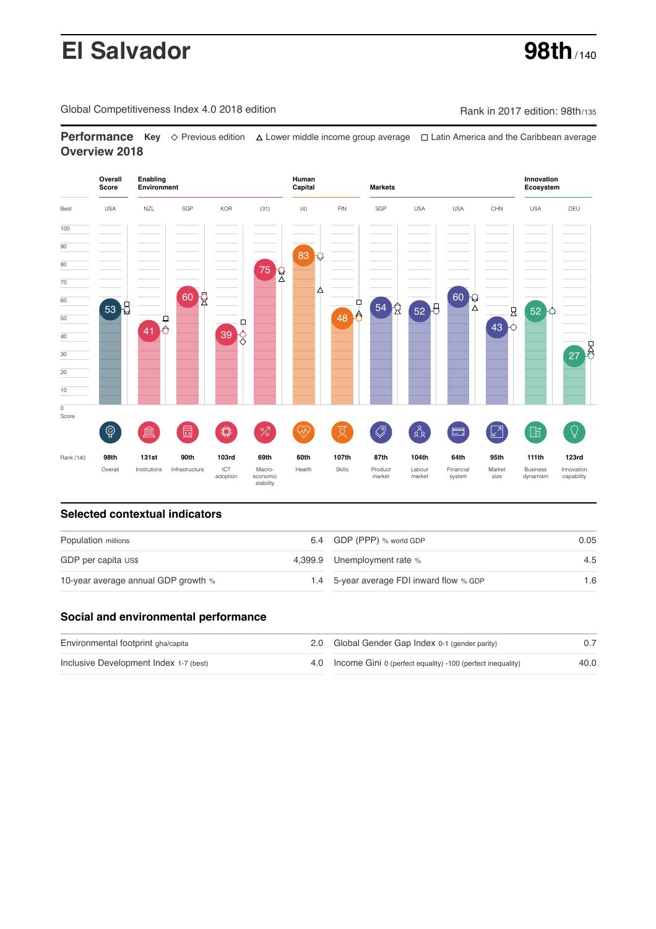# **El Salvador 98th** / 140

Global Competitiveness Index 4.0 2018 edition Company Rank in 2017 edition: 98th/135

**Performance** Key ◇ Previous edition A Lower middle income group average  $\Box$  Latin America and the Caribbean average **Overview 2018**



# **Selected contextual indicators**

| Population millions                 | 6.4 GDP (PPP) % world GDP                | 0.05 |  |
|-------------------------------------|------------------------------------------|------|--|
| GDP per capita US\$                 | 4,399.9 Unemployment rate %              | 4.5  |  |
| 10-year average annual GDP growth % | 1.4 5-year average FDI inward flow % GDP | 1.6  |  |

# **Social and environmental performance**

| Environmental footprint gha/capita     | 2.0 Global Gender Gap Index 0-1 (gender parity)                |      |
|----------------------------------------|----------------------------------------------------------------|------|
| Inclusive Development Index 1-7 (best) | 4.0 Income Gini 0 (perfect equality) -100 (perfect inequality) | 40.0 |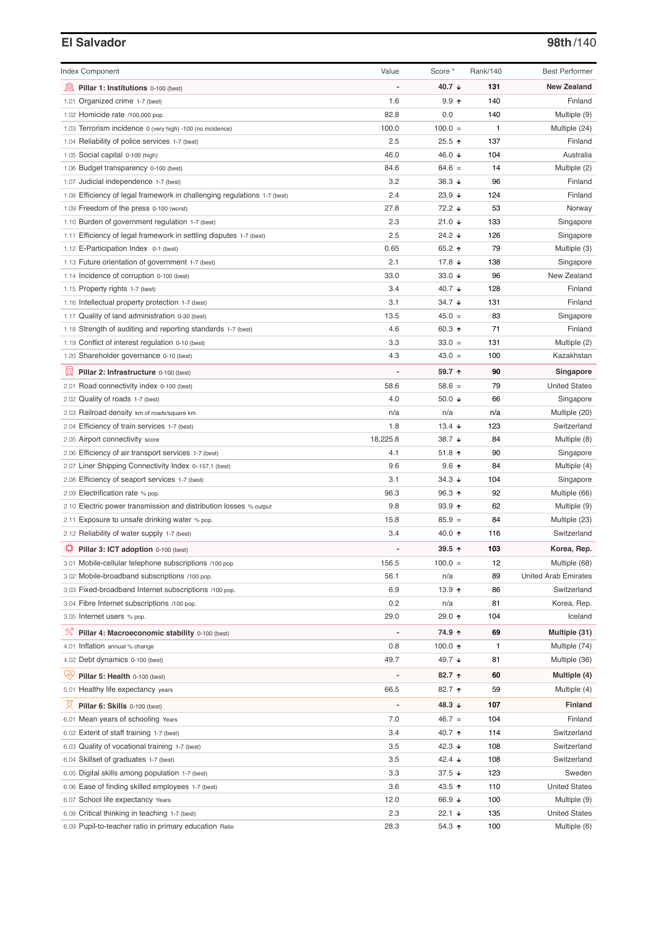# **El Salvador 98th**/140

| <b>Index Component</b>                                                   | Value    | Score *              | Rank/140 | <b>Best Performer</b>       |
|--------------------------------------------------------------------------|----------|----------------------|----------|-----------------------------|
| 卹<br>Pillar 1: Institutions 0-100 (best)                                 |          | 40.7 ↓               | 131      | <b>New Zealand</b>          |
| 1.01 Organized crime 1-7 (best)                                          | 1.6      | 9.9 <sub>0</sub>     | 140      | Finland                     |
| 1.02 Homicide rate /100,000 pop.                                         | 82.8     | 0.0                  | 140      | Multiple (9)                |
| 1.03 Terrorism incidence 0 (very high) -100 (no incidence)               | 100.0    | $100.0 =$            | 1        | Multiple (24)               |
| 1.04 Reliability of police services 1-7 (best)                           | 2.5      | $25.5 +$             | 137      | Finland                     |
| 1.05 Social capital 0-100 (high)                                         | 46.0     | 46.0 ↓               | 104      | Australia                   |
| 1.06 Budget transparency 0-100 (best)                                    | 84.6     | $84.6 =$             | 14       | Multiple (2)                |
| 1.07 Judicial independence 1-7 (best)                                    | 3.2      | 36.3 $\sqrt{ }$      | 96       | Finland                     |
| 1.08 Efficiency of legal framework in challenging regulations 1-7 (best) | 2.4      | 23.9 $\sqrt{ }$      | 124      | Finland                     |
| 1.09 Freedom of the press 0-100 (worst)                                  | 27.8     | 72.2 ↓               | 53       | Norway                      |
| 1.10 Burden of government regulation 1-7 (best)                          | 2.3      | $21.0$ ↓             | 133      | Singapore                   |
| 1.11 Efficiency of legal framework in settling disputes 1-7 (best)       | 2.5      | 24.2 $\sqrt{ }$      | 126      | Singapore                   |
| 1.12 E-Participation Index 0-1 (best)                                    | 0.65     | 65.2 ↑               | 79       | Multiple (3)                |
| 1.13 Future orientation of government 1-7 (best)                         | 2.1      | 17.8 ↓               | 138      | Singapore                   |
| 1.14 Incidence of corruption 0-100 (best)                                | 33.0     | 33.0 $\sqrt{ }$      | 96       | New Zealand                 |
| 1.15 Property rights 1-7 (best)                                          | 3.4      | 40.7 ↓               | 128      | Finland                     |
| 1.16 Intellectual property protection 1-7 (best)                         | 3.1      | $34.7 +$             | 131      | Finland                     |
| 1.17 Quality of land administration 0-30 (best)                          | 13.5     | $45.0 =$             | 83       | Singapore                   |
| 1.18 Strength of auditing and reporting standards 1-7 (best)             | 4.6      | 60.3 $\uparrow$      | 71       | Finland                     |
|                                                                          | 3.3      |                      | 131      |                             |
| 1.19 Conflict of interest regulation 0-10 (best)                         |          | $33.0 =$             |          | Multiple (2)                |
| 1.20 Shareholder governance 0-10 (best)                                  | 4.3      | $43.0 =$             | 100      | Kazakhstan                  |
| 員<br>Pillar 2: Infrastructure 0-100 (best)                               |          | 59.7 ↑               | 90       | Singapore                   |
| 2.01 Road connectivity index 0-100 (best)                                | 58.6     | $58.6 =$             | 79       | <b>United States</b>        |
| 2.02 Quality of roads 1-7 (best)                                         | 4.0      | 50.0 $\sqrt{ }$      | 66       | Singapore                   |
| 2.03 Railroad density km of roads/square km                              | n/a      | n/a                  | n/a      | Multiple (20)               |
| 2.04 Efficiency of train services 1-7 (best)                             | 1.8      | 13.4 $\sqrt{ }$      | 123      | Switzerland                 |
| 2.05 Airport connectivity score                                          | 18,225.8 | 38.7 ↓               | 84       | Multiple (8)                |
| 2.06 Efficiency of air transport services 1-7 (best)                     | 4.1      | $51.8$ ↑             | 90       | Singapore                   |
| 2.07 Liner Shipping Connectivity Index 0-157.1 (best)                    | 9.6      | $9.6$ ↑              | 84       | Multiple (4)                |
| 2.08 Efficiency of seaport services 1-7 (best)                           | 3.1      | $34.3 \; \downarrow$ | 104      | Singapore                   |
| 2.09 Electrification rate % pop.                                         | 96.3     | 96.3 $\uparrow$      | 92       | Multiple (66)               |
| 2.10 Electric power transmission and distribution losses % output        | 9.8      | $93.9$ 1             | 62       | Multiple (9)                |
| 2.11 Exposure to unsafe drinking water % pop.                            | 15.8     | $85.9 =$             | 84       | Multiple (23)               |
| 2.12 Reliability of water supply 1-7 (best)                              | 3.4      | 40.0 ↑               | 116      | Switzerland                 |
| ₩<br>Pillar 3: ICT adoption 0-100 (best)                                 |          | 39.5 ↑               | 103      | Korea, Rep.                 |
| 3.01 Mobile-cellular telephone subscriptions /100 pop.                   | 156.5    | $100.0 =$            | 12       | Multiple (68)               |
| 3.02 Mobile-broadband subscriptions /100 pop.                            | 56.1     | n/a                  | 89       | <b>United Arab Emirates</b> |
| 3.03 Fixed-broadband Internet subscriptions /100 pop.                    | 6.9      | 13.9 $\uparrow$      | 86       | Switzerland                 |
| 3.04 Fibre Internet subscriptions /100 pop.                              | 0.2      | n/a                  | 81       | Korea, Rep.                 |
| 3.05 Internet users % pop.                                               | 29.0     | 29.0 ↑               | 104      | Iceland                     |
|                                                                          |          |                      |          |                             |
| <sup>%</sup> Pillar 4: Macroeconomic stability 0-100 (best)              |          | 74.9 ↑               | 69       | Multiple (31)               |
| 4.01 Inflation annual % change                                           | 0.8      | 100.0 $\uparrow$     | 1        | Multiple (74)               |
| 4.02 Debt dynamics 0-100 (best)                                          | 49.7     | 49.7 ↓               | 81       | Multiple (36)               |
| ₩<br>Pillar 5: Health 0-100 (best)                                       |          | 82.7 ↑               | 60       | Multiple (4)                |
| 5.01 Healthy life expectancy years                                       | 66.5     | 82.7 ↑               | 59       | Multiple (4)                |
| 섯<br>Pillar 6: Skills 0-100 (best)                                       |          | 48.3 $\downarrow$    | 107      | <b>Finland</b>              |
| 6.01 Mean years of schooling Years                                       | 7.0      | $46.7 =$             | 104      | Finland                     |
| 6.02 Extent of staff training 1-7 (best)                                 | 3.4      | 40.7 ↑               | 114      | Switzerland                 |
| 6.03 Quality of vocational training 1-7 (best)                           | 3.5      | 42.3 $\sqrt{ }$      | 108      | Switzerland                 |
| 6.04 Skillset of graduates 1-7 (best)                                    | 3.5      | 42.4 $\sqrt{ }$      | 108      | Switzerland                 |
| 6.05 Digital skills among population 1-7 (best)                          | 3.3      | 37.5 $\sqrt{ }$      | 123      | Sweden                      |
| 6.06 Ease of finding skilled employees 1-7 (best)                        | 3.6      | 43.5 ↑               | 110      | <b>United States</b>        |
| 6.07 School life expectancy Years                                        | 12.0     | 66.9 ↓               | 100      | Multiple (9)                |
| 6.08 Critical thinking in teaching 1-7 (best)                            | 2.3      | 22.1 $\sqrt{ }$      | 135      | <b>United States</b>        |
| 6.09 Pupil-to-teacher ratio in primary education Ratio                   | 28.3     | 54.3 ↑               | 100      | Multiple (6)                |